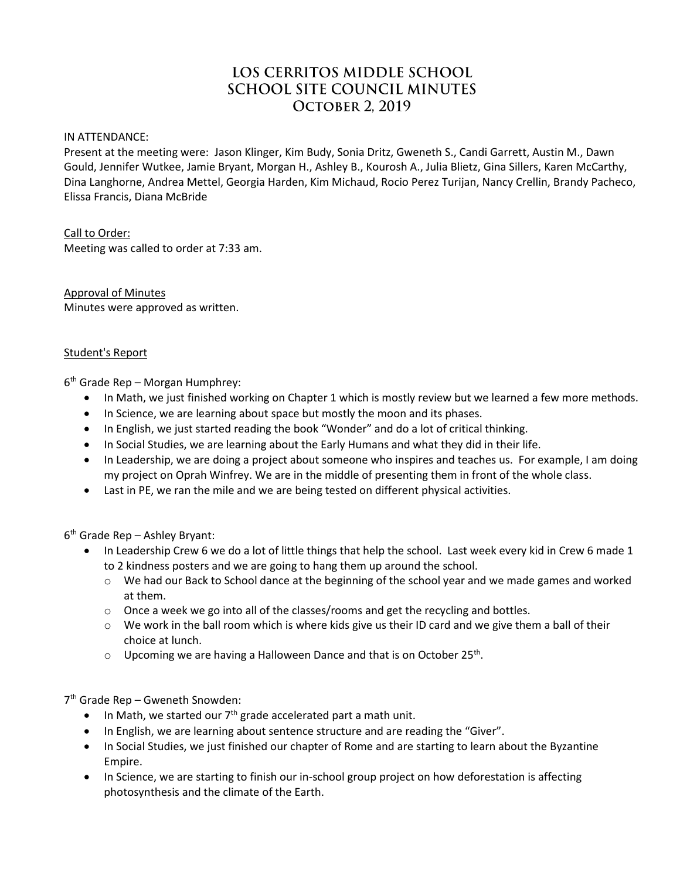# LOS CERRITOS MIDDLE SCHOOL **SCHOOL SITE COUNCIL MINUTES OCTOBER 2, 2019**

IN ATTENDANCE:

Present at the meeting were: Jason Klinger, Kim Budy, Sonia Dritz, Gweneth S., Candi Garrett, Austin M., Dawn Gould, Jennifer Wutkee, Jamie Bryant, Morgan H., Ashley B., Kourosh A., Julia Blietz, Gina Sillers, Karen McCarthy, Dina Langhorne, Andrea Mettel, Georgia Harden, Kim Michaud, Rocio Perez Turijan, Nancy Crellin, Brandy Pacheco, Elissa Francis, Diana McBride

Call to Order: Meeting was called to order at 7:33 am.

Approval of Minutes Minutes were approved as written.

#### Student's Report

6 th Grade Rep – Morgan Humphrey:

- In Math, we just finished working on Chapter 1 which is mostly review but we learned a few more methods.
- In Science, we are learning about space but mostly the moon and its phases.
- In English, we just started reading the book "Wonder" and do a lot of critical thinking.
- In Social Studies, we are learning about the Early Humans and what they did in their life.
- In Leadership, we are doing a project about someone who inspires and teaches us. For example, I am doing my project on Oprah Winfrey. We are in the middle of presenting them in front of the whole class.
- Last in PE, we ran the mile and we are being tested on different physical activities.

6 th Grade Rep – Ashley Bryant:

- In Leadership Crew 6 we do a lot of little things that help the school. Last week every kid in Crew 6 made 1 to 2 kindness posters and we are going to hang them up around the school.
	- o We had our Back to School dance at the beginning of the school year and we made games and worked at them.
	- $\circ$  Once a week we go into all of the classes/rooms and get the recycling and bottles.
	- $\circ$  We work in the ball room which is where kids give us their ID card and we give them a ball of their choice at lunch.
	- $\circ$  Upcoming we are having a Halloween Dance and that is on October 25<sup>th</sup>.

7 th Grade Rep – Gweneth Snowden:

- $\bullet$  In Math, we started our  $7<sup>th</sup>$  grade accelerated part a math unit.
- In English, we are learning about sentence structure and are reading the "Giver".
- In Social Studies, we just finished our chapter of Rome and are starting to learn about the Byzantine Empire.
- In Science, we are starting to finish our in-school group project on how deforestation is affecting photosynthesis and the climate of the Earth.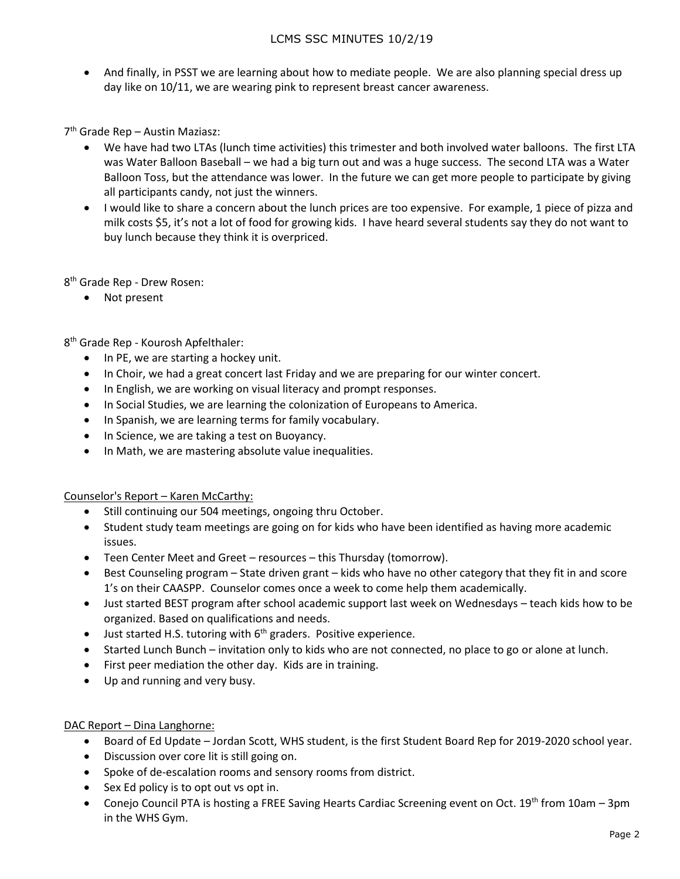## LCMS SSC MINUTES 10/2/19

• And finally, in PSST we are learning about how to mediate people. We are also planning special dress up day like on 10/11, we are wearing pink to represent breast cancer awareness.

7 th Grade Rep – Austin Maziasz:

- We have had two LTAs (lunch time activities) this trimester and both involved water balloons. The first LTA was Water Balloon Baseball – we had a big turn out and was a huge success. The second LTA was a Water Balloon Toss, but the attendance was lower. In the future we can get more people to participate by giving all participants candy, not just the winners.
- I would like to share a concern about the lunch prices are too expensive. For example, 1 piece of pizza and milk costs \$5, it's not a lot of food for growing kids. I have heard several students say they do not want to buy lunch because they think it is overpriced.

8 th Grade Rep - Drew Rosen:

• Not present

8 th Grade Rep - Kourosh Apfelthaler:

- In PE, we are starting a hockey unit.
- In Choir, we had a great concert last Friday and we are preparing for our winter concert.
- In English, we are working on visual literacy and prompt responses.
- In Social Studies, we are learning the colonization of Europeans to America.
- In Spanish, we are learning terms for family vocabulary.
- In Science, we are taking a test on Buoyancy.
- In Math, we are mastering absolute value inequalities.

Counselor's Report – Karen McCarthy:

- Still continuing our 504 meetings, ongoing thru October.
- Student study team meetings are going on for kids who have been identified as having more academic issues.
- Teen Center Meet and Greet resources this Thursday (tomorrow).
- Best Counseling program State driven grant kids who have no other category that they fit in and score 1's on their CAASPP. Counselor comes once a week to come help them academically.
- Just started BEST program after school academic support last week on Wednesdays teach kids how to be organized. Based on qualifications and needs.
- $\bullet$  Just started H.S. tutoring with  $6<sup>th</sup>$  graders. Positive experience.
- Started Lunch Bunch invitation only to kids who are not connected, no place to go or alone at lunch.
- First peer mediation the other day. Kids are in training.
- Up and running and very busy.

#### DAC Report – Dina Langhorne:

- Board of Ed Update Jordan Scott, WHS student, is the first Student Board Rep for 2019-2020 school year.
- Discussion over core lit is still going on.
- Spoke of de-escalation rooms and sensory rooms from district.
- Sex Ed policy is to opt out vs opt in.
- Conejo Council PTA is hosting a FREE Saving Hearts Cardiac Screening event on Oct. 19<sup>th</sup> from 10am 3pm in the WHS Gym.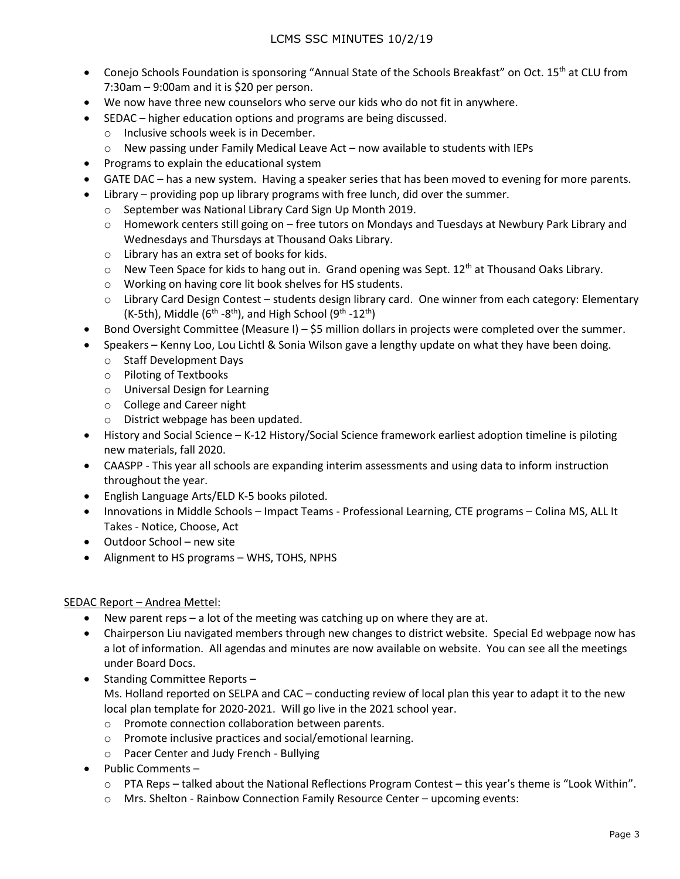- Conejo Schools Foundation is sponsoring "Annual State of the Schools Breakfast" on Oct. 15<sup>th</sup> at CLU from 7:30am – 9:00am and it is \$20 per person.
- We now have three new counselors who serve our kids who do not fit in anywhere.
- SEDAC higher education options and programs are being discussed.
	- o Inclusive schools week is in December.
	- $\circ$  New passing under Family Medical Leave Act now available to students with IEPs
- Programs to explain the educational system
- GATE DAC has a new system. Having a speaker series that has been moved to evening for more parents.
- Library providing pop up library programs with free lunch, did over the summer.
	- o September was National Library Card Sign Up Month 2019.
	- o Homework centers still going on free tutors on Mondays and Tuesdays at Newbury Park Library and Wednesdays and Thursdays at Thousand Oaks Library.
	- o Library has an extra set of books for kids.
	- $\circ$  New Teen Space for kids to hang out in. Grand opening was Sept. 12<sup>th</sup> at Thousand Oaks Library.
	- o Working on having core lit book shelves for HS students.
	- o Library Card Design Contest students design library card. One winner from each category: Elementary (K-5th), Middle (6<sup>th</sup> -8<sup>th</sup>), and High School (9<sup>th</sup> -12<sup>th</sup>)
- Bond Oversight Committee (Measure I) \$5 million dollars in projects were completed over the summer.
- Speakers Kenny Loo, Lou Lichtl & Sonia Wilson gave a lengthy update on what they have been doing.
	- o Staff Development Days
	- o Piloting of Textbooks
	- o Universal Design for Learning
	- o College and Career night
	- o District webpage has been updated.
- History and Social Science K-12 History/Social Science framework earliest adoption timeline is piloting new materials, fall 2020.
- CAASPP This year all schools are expanding interim assessments and using data to inform instruction throughout the year.
- English Language Arts/ELD K-5 books piloted.
- Innovations in Middle Schools Impact Teams Professional Learning, CTE programs Colina MS, ALL It Takes - Notice, Choose, Act
- Outdoor School new site
- Alignment to HS programs WHS, TOHS, NPHS

#### SEDAC Report – Andrea Mettel:

- New parent reps a lot of the meeting was catching up on where they are at.
- Chairperson Liu navigated members through new changes to district website. Special Ed webpage now has a lot of information. All agendas and minutes are now available on website. You can see all the meetings under Board Docs.
- Standing Committee Reports -Ms. Holland reported on SELPA and CAC – conducting review of local plan this year to adapt it to the new local plan template for 2020-2021. Will go live in the 2021 school year.
	- o Promote connection collaboration between parents.
	- o Promote inclusive practices and social/emotional learning.
	- o Pacer Center and Judy French Bullying
- Public Comments
	- o PTA Reps talked about the National Reflections Program Contest this year's theme is "Look Within".
	- o Mrs. Shelton Rainbow Connection Family Resource Center upcoming events: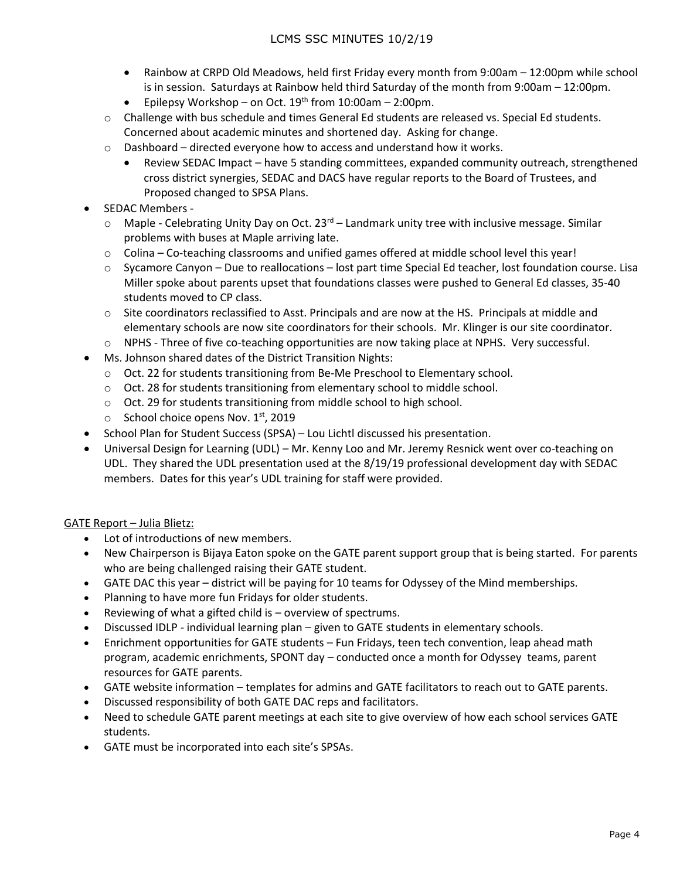- Rainbow at CRPD Old Meadows, held first Friday every month from 9:00am 12:00pm while school is in session. Saturdays at Rainbow held third Saturday of the month from 9:00am – 12:00pm.
- **•** Epilepsy Workshop on Oct.  $19^{th}$  from  $10:00$ am 2:00pm.
- $\circ$  Challenge with bus schedule and times General Ed students are released vs. Special Ed students. Concerned about academic minutes and shortened day. Asking for change.
- $\circ$  Dashboard directed everyone how to access and understand how it works.
	- Review SEDAC Impact have 5 standing committees, expanded community outreach, strengthened cross district synergies, SEDAC and DACS have regular reports to the Board of Trustees, and Proposed changed to SPSA Plans.
- SEDAC Members -
	- $\circ$  Maple Celebrating Unity Day on Oct. 23<sup>rd</sup> Landmark unity tree with inclusive message. Similar problems with buses at Maple arriving late.
	- $\circ$  Colina Co-teaching classrooms and unified games offered at middle school level this year!
	- o Sycamore Canyon Due to reallocations lost part time Special Ed teacher, lost foundation course. Lisa Miller spoke about parents upset that foundations classes were pushed to General Ed classes, 35-40 students moved to CP class.
	- $\circ$  Site coordinators reclassified to Asst. Principals and are now at the HS. Principals at middle and elementary schools are now site coordinators for their schools. Mr. Klinger is our site coordinator.
	- o NPHS Three of five co-teaching opportunities are now taking place at NPHS. Very successful.
- Ms. Johnson shared dates of the District Transition Nights:
	- o Oct. 22 for students transitioning from Be-Me Preschool to Elementary school.
	- o Oct. 28 for students transitioning from elementary school to middle school.
	- o Oct. 29 for students transitioning from middle school to high school.
	- $\circ$  School choice opens Nov. 1st, 2019
- School Plan for Student Success (SPSA) Lou Lichtl discussed his presentation.
- Universal Design for Learning (UDL) Mr. Kenny Loo and Mr. Jeremy Resnick went over co-teaching on UDL. They shared the UDL presentation used at the 8/19/19 professional development day with SEDAC members. Dates for this year's UDL training for staff were provided.

## GATE Report – Julia Blietz:

- Lot of introductions of new members.
- New Chairperson is Bijaya Eaton spoke on the GATE parent support group that is being started. For parents who are being challenged raising their GATE student.
- GATE DAC this year district will be paying for 10 teams for Odyssey of the Mind memberships.
- Planning to have more fun Fridays for older students.
- Reviewing of what a gifted child is overview of spectrums.
- Discussed IDLP individual learning plan given to GATE students in elementary schools.
- Enrichment opportunities for GATE students Fun Fridays, teen tech convention, leap ahead math program, academic enrichments, SPONT day – conducted once a month for Odyssey teams, parent resources for GATE parents.
- GATE website information templates for admins and GATE facilitators to reach out to GATE parents.
- Discussed responsibility of both GATE DAC reps and facilitators.
- Need to schedule GATE parent meetings at each site to give overview of how each school services GATE students.
- GATE must be incorporated into each site's SPSAs.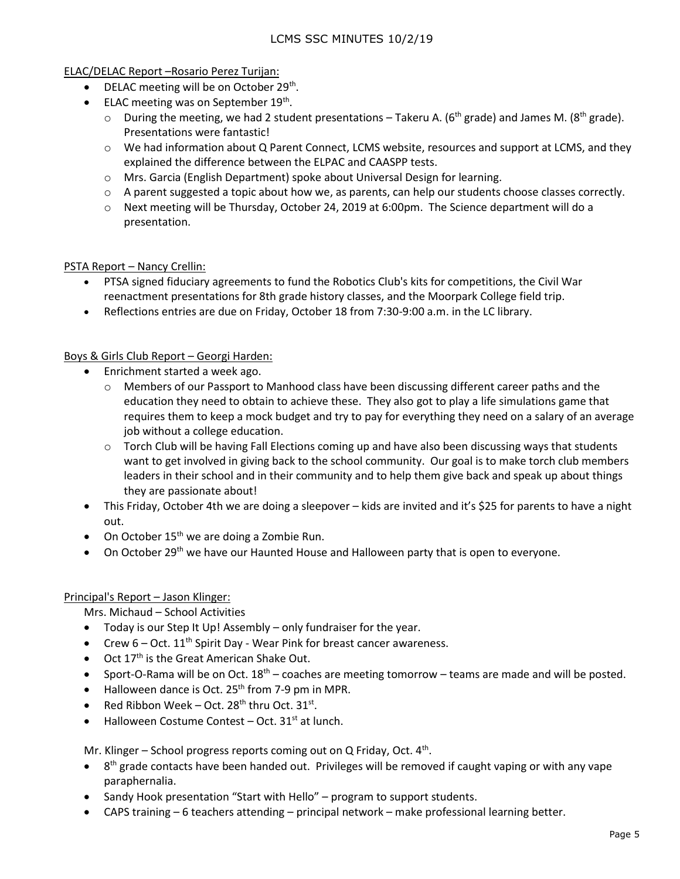#### ELAC/DELAC Report –Rosario Perez Turijan:

- DELAC meeting will be on October 29<sup>th</sup>.
- ELAC meeting was on September 19<sup>th</sup>.
	- $\circ$  During the meeting, we had 2 student presentations Takeru A. (6<sup>th</sup> grade) and James M. (8<sup>th</sup> grade). Presentations were fantastic!
	- o We had information about Q Parent Connect, LCMS website, resources and support at LCMS, and they explained the difference between the ELPAC and CAASPP tests.
	- o Mrs. Garcia (English Department) spoke about Universal Design for learning.
	- $\circ$  A parent suggested a topic about how we, as parents, can help our students choose classes correctly.
	- $\circ$  Next meeting will be Thursday, October 24, 2019 at 6:00pm. The Science department will do a presentation.

### PSTA Report – Nancy Crellin:

- PTSA signed fiduciary agreements to fund the Robotics Club's kits for competitions, the Civil War reenactment presentations for 8th grade history classes, and the Moorpark College field trip.
- Reflections entries are due on Friday, October 18 from 7:30-9:00 a.m. in the LC library.

### Boys & Girls Club Report – Georgi Harden:

- Enrichment started a week ago.
	- o Members of our Passport to Manhood class have been discussing different career paths and the education they need to obtain to achieve these. They also got to play a life simulations game that requires them to keep a mock budget and try to pay for everything they need on a salary of an average job without a college education.
	- $\circ$  Torch Club will be having Fall Elections coming up and have also been discussing ways that students want to get involved in giving back to the school community. Our goal is to make torch club members leaders in their school and in their community and to help them give back and speak up about things they are passionate about!
- This Friday, October 4th we are doing a sleepover kids are invited and it's \$25 for parents to have a night out.
- On October  $15<sup>th</sup>$  we are doing a Zombie Run.
- $\bullet$  On October 29<sup>th</sup> we have our Haunted House and Halloween party that is open to everyone.

#### Principal's Report – Jason Klinger:

Mrs. Michaud – School Activities

- Today is our Step It Up! Assembly only fundraiser for the year.
- Crew  $6 Oct. 11<sup>th</sup>$  Spirit Day Wear Pink for breast cancer awareness.
- Oct 17<sup>th</sup> is the Great American Shake Out.
- Sport-O-Rama will be on Oct.  $18^{th}$  coaches are meeting tomorrow teams are made and will be posted.
- $\bullet$  Halloween dance is Oct. 25<sup>th</sup> from 7-9 pm in MPR.
- Red Ribbon Week Oct. 28<sup>th</sup> thru Oct.  $31^{st}$ .
- $\bullet$  Halloween Costume Contest Oct. 31<sup>st</sup> at lunch.

Mr. Klinger - School progress reports coming out on Q Friday, Oct. 4<sup>th</sup>.

- $\bullet$  8<sup>th</sup> grade contacts have been handed out. Privileges will be removed if caught vaping or with any vape paraphernalia.
- Sandy Hook presentation "Start with Hello" program to support students.
- CAPS training 6 teachers attending principal network make professional learning better.